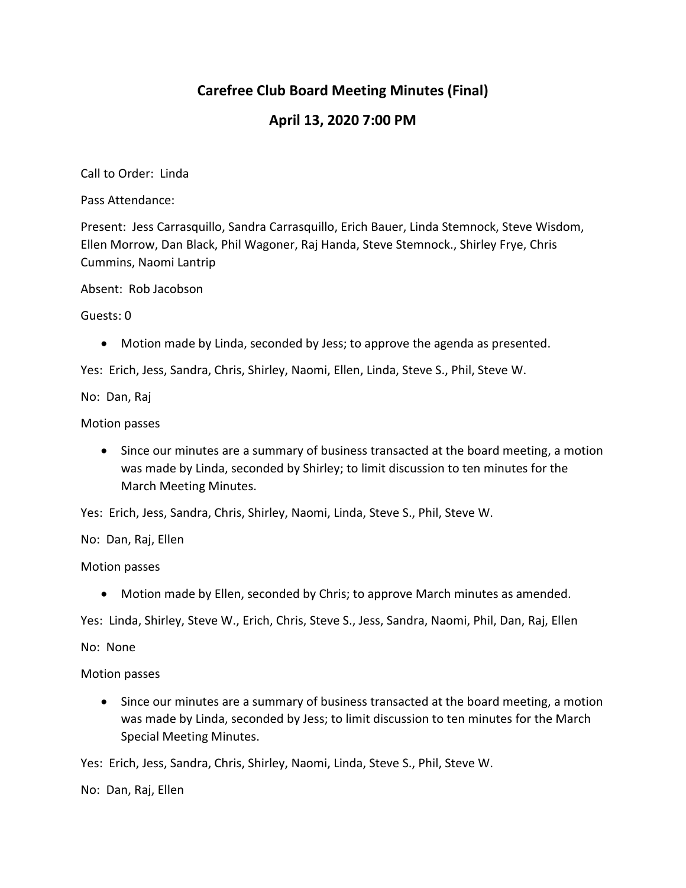# **Carefree Club Board Meeting Minutes (Final)**

## **April 13, 2020 7:00 PM**

Call to Order: Linda

Pass Attendance:

Present: Jess Carrasquillo, Sandra Carrasquillo, Erich Bauer, Linda Stemnock, Steve Wisdom, Ellen Morrow, Dan Black, Phil Wagoner, Raj Handa, Steve Stemnock., Shirley Frye, Chris Cummins, Naomi Lantrip

Absent: Rob Jacobson

Guests: 0

Motion made by Linda, seconded by Jess; to approve the agenda as presented.

Yes: Erich, Jess, Sandra, Chris, Shirley, Naomi, Ellen, Linda, Steve S., Phil, Steve W.

No: Dan, Raj

Motion passes

 Since our minutes are a summary of business transacted at the board meeting, a motion was made by Linda, seconded by Shirley; to limit discussion to ten minutes for the March Meeting Minutes.

Yes: Erich, Jess, Sandra, Chris, Shirley, Naomi, Linda, Steve S., Phil, Steve W.

No: Dan, Raj, Ellen

Motion passes

Motion made by Ellen, seconded by Chris; to approve March minutes as amended.

Yes: Linda, Shirley, Steve W., Erich, Chris, Steve S., Jess, Sandra, Naomi, Phil, Dan, Raj, Ellen

No: None

Motion passes

 Since our minutes are a summary of business transacted at the board meeting, a motion was made by Linda, seconded by Jess; to limit discussion to ten minutes for the March Special Meeting Minutes.

Yes: Erich, Jess, Sandra, Chris, Shirley, Naomi, Linda, Steve S., Phil, Steve W.

No: Dan, Raj, Ellen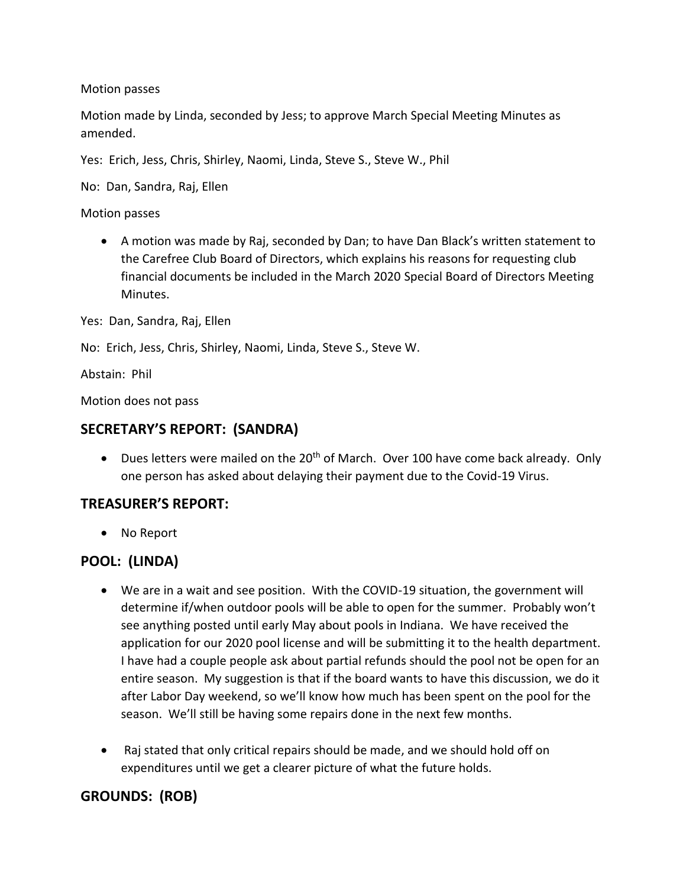Motion passes

Motion made by Linda, seconded by Jess; to approve March Special Meeting Minutes as amended.

Yes: Erich, Jess, Chris, Shirley, Naomi, Linda, Steve S., Steve W., Phil

No: Dan, Sandra, Raj, Ellen

Motion passes

 A motion was made by Raj, seconded by Dan; to have Dan Black's written statement to the Carefree Club Board of Directors, which explains his reasons for requesting club financial documents be included in the March 2020 Special Board of Directors Meeting Minutes.

Yes: Dan, Sandra, Raj, Ellen

No: Erich, Jess, Chris, Shirley, Naomi, Linda, Steve S., Steve W.

Abstain: Phil

Motion does not pass

#### **SECRETARY'S REPORT: (SANDRA)**

 $\bullet$  Dues letters were mailed on the 20<sup>th</sup> of March. Over 100 have come back already. Only one person has asked about delaying their payment due to the Covid-19 Virus.

#### **TREASURER'S REPORT:**

No Report

## **POOL: (LINDA)**

- We are in a wait and see position. With the COVID-19 situation, the government will determine if/when outdoor pools will be able to open for the summer. Probably won't see anything posted until early May about pools in Indiana. We have received the application for our 2020 pool license and will be submitting it to the health department. I have had a couple people ask about partial refunds should the pool not be open for an entire season. My suggestion is that if the board wants to have this discussion, we do it after Labor Day weekend, so we'll know how much has been spent on the pool for the season. We'll still be having some repairs done in the next few months.
- Raj stated that only critical repairs should be made, and we should hold off on expenditures until we get a clearer picture of what the future holds.

## **GROUNDS: (ROB)**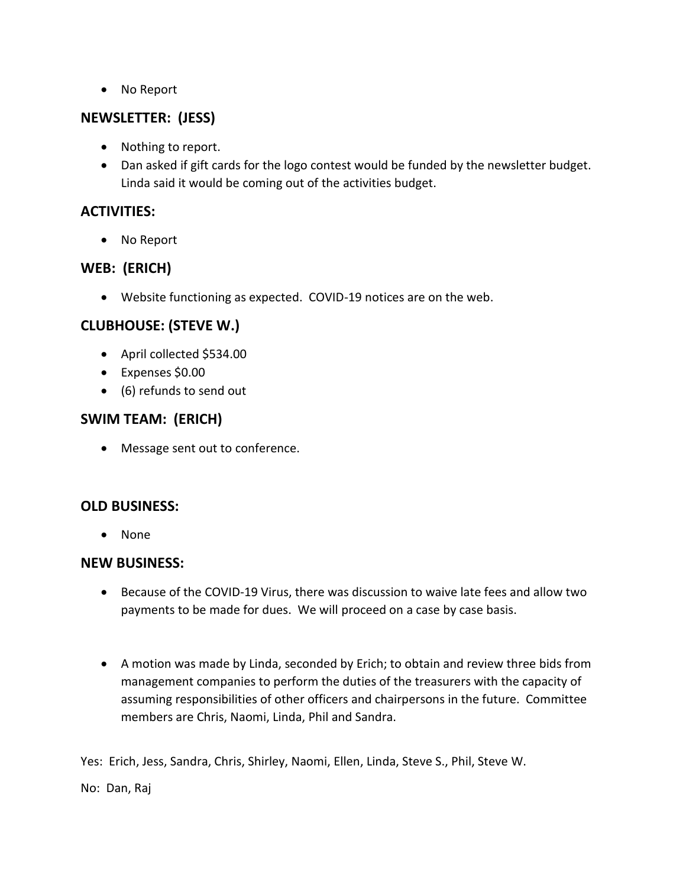No Report

### **NEWSLETTER: (JESS)**

- Nothing to report.
- Dan asked if gift cards for the logo contest would be funded by the newsletter budget. Linda said it would be coming out of the activities budget.

### **ACTIVITIES:**

No Report

### **WEB: (ERICH)**

Website functioning as expected. COVID-19 notices are on the web.

## **CLUBHOUSE: (STEVE W.)**

- April collected \$534.00
- Expenses \$0.00
- (6) refunds to send out

### **SWIM TEAM: (ERICH)**

• Message sent out to conference.

#### **OLD BUSINESS:**

• None

#### **NEW BUSINESS:**

- Because of the COVID-19 Virus, there was discussion to waive late fees and allow two payments to be made for dues. We will proceed on a case by case basis.
- A motion was made by Linda, seconded by Erich; to obtain and review three bids from management companies to perform the duties of the treasurers with the capacity of assuming responsibilities of other officers and chairpersons in the future. Committee members are Chris, Naomi, Linda, Phil and Sandra.

Yes: Erich, Jess, Sandra, Chris, Shirley, Naomi, Ellen, Linda, Steve S., Phil, Steve W.

No: Dan, Raj